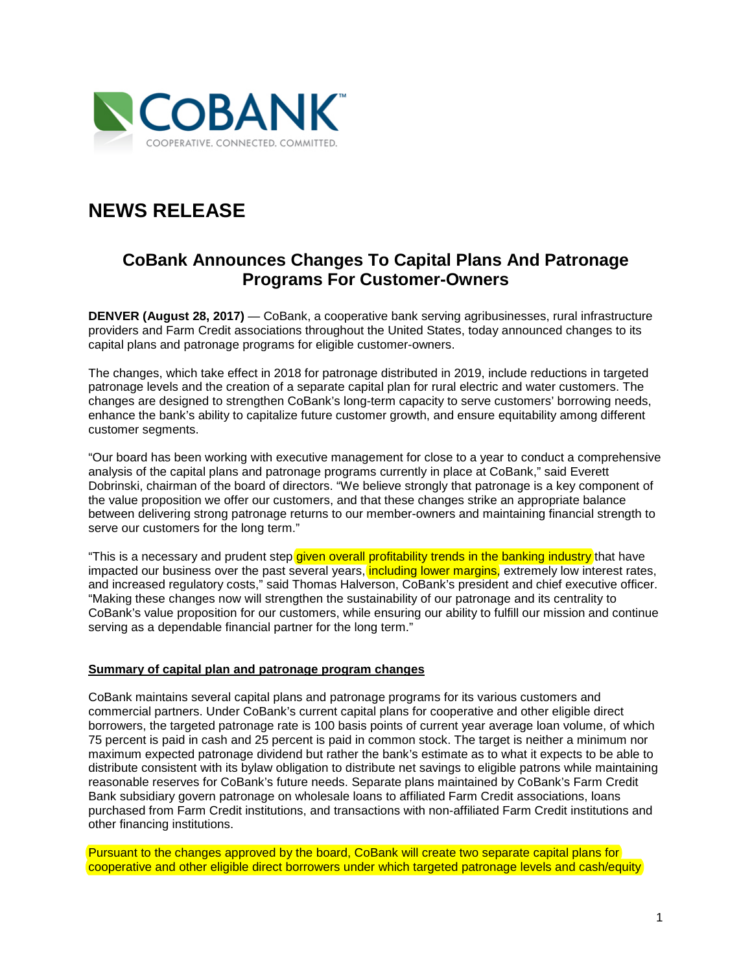

# **NEWS RELEASE**

# **CoBank Announces Changes To Capital Plans And Patronage Programs For Customer-Owners**

**DENVER (August 28, 2017)** — CoBank, a cooperative bank serving agribusinesses, rural infrastructure providers and Farm Credit associations throughout the United States, today announced changes to its capital plans and patronage programs for eligible customer-owners.

The changes, which take effect in 2018 for patronage distributed in 2019, include reductions in targeted patronage levels and the creation of a separate capital plan for rural electric and water customers. The changes are designed to strengthen CoBank's long-term capacity to serve customers' borrowing needs, enhance the bank's ability to capitalize future customer growth, and ensure equitability among different customer segments.

"Our board has been working with executive management for close to a year to conduct a comprehensive analysis of the capital plans and patronage programs currently in place at CoBank," said Everett Dobrinski, chairman of the board of directors. "We believe strongly that patronage is a key component of the value proposition we offer our customers, and that these changes strike an appropriate balance between delivering strong patronage returns to our member-owners and maintaining financial strength to serve our customers for the long term."

"This is a necessary and prudent step given overall profitability trends in the banking industry that have impacted our business over the past several years, *including lower margins*, extremely low interest rates, and increased regulatory costs," said Thomas Halverson, CoBank's president and chief executive officer. "Making these changes now will strengthen the sustainability of our patronage and its centrality to CoBank's value proposition for our customers, while ensuring our ability to fulfill our mission and continue serving as a dependable financial partner for the long term."

#### **Summary of capital plan and patronage program changes**

CoBank maintains several capital plans and patronage programs for its various customers and commercial partners. Under CoBank's current capital plans for cooperative and other eligible direct borrowers, the targeted patronage rate is 100 basis points of current year average loan volume, of which 75 percent is paid in cash and 25 percent is paid in common stock. The target is neither a minimum nor maximum expected patronage dividend but rather the bank's estimate as to what it expects to be able to distribute consistent with its bylaw obligation to distribute net savings to eligible patrons while maintaining reasonable reserves for CoBank's future needs. Separate plans maintained by CoBank's Farm Credit Bank subsidiary govern patronage on wholesale loans to affiliated Farm Credit associations, loans purchased from Farm Credit institutions, and transactions with non-affiliated Farm Credit institutions and other financing institutions.

Pursuant to the changes approved by the board, CoBank will create two separate capital plans for cooperative and other eligible direct borrowers under which targeted patronage levels and cash/equity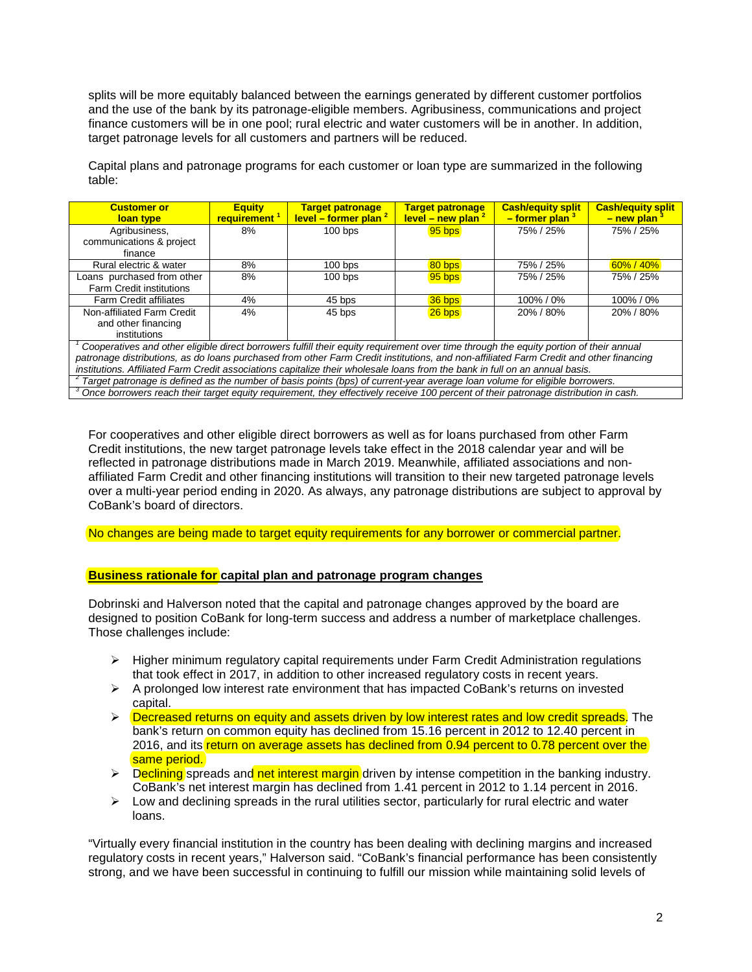splits will be more equitably balanced between the earnings generated by different customer portfolios and the use of the bank by its patronage-eligible members. Agribusiness, communications and project finance customers will be in one pool; rural electric and water customers will be in another. In addition, target patronage levels for all customers and partners will be reduced.

Capital plans and patronage programs for each customer or loan type are summarized in the following table:

| <b>Customer or</b><br>loan type                                                                                                                  | <b>Equity</b><br>requirement <sup>1</sup> | <b>Target patronage</b><br>level – former plan $^2$ | <b>Target patronage</b><br>level – new plan $^2$ | <b>Cash/equity split</b><br>$-$ former plan $3$ | <b>Cash/equity split</b><br>$-$ new plan $^3$ |
|--------------------------------------------------------------------------------------------------------------------------------------------------|-------------------------------------------|-----------------------------------------------------|--------------------------------------------------|-------------------------------------------------|-----------------------------------------------|
| Agribusiness,                                                                                                                                    | 8%                                        | $100$ bps                                           | $95$ bps                                         | 75% / 25%                                       | 75% / 25%                                     |
| communications & project                                                                                                                         |                                           |                                                     |                                                  |                                                 |                                               |
| finance                                                                                                                                          |                                           |                                                     |                                                  |                                                 |                                               |
| Rural electric & water                                                                                                                           | 8%                                        | $100$ bps                                           | 80 bps                                           | 75% / 25%                                       | $60\% / 40\%$                                 |
| Loans purchased from other                                                                                                                       | 8%                                        | $100$ bps                                           | $95$ bps                                         | 75% / 25%                                       | 75% / 25%                                     |
| <b>Farm Credit institutions</b>                                                                                                                  |                                           |                                                     |                                                  |                                                 |                                               |
| <b>Farm Credit affiliates</b>                                                                                                                    | 4%                                        | 45 bps                                              | 36 bps                                           | 100% / 0%                                       | 100%/0%                                       |
| Non-affiliated Farm Credit                                                                                                                       | 4%                                        | 45 bps                                              | 26 bps                                           | 20% / 80%                                       | 20% / 80%                                     |
| and other financing                                                                                                                              |                                           |                                                     |                                                  |                                                 |                                               |
| institutions                                                                                                                                     |                                           |                                                     |                                                  |                                                 |                                               |
| Cooperatives and other eligible direct borrowers fulfill their equity requirement over time through the equity portion of their annual           |                                           |                                                     |                                                  |                                                 |                                               |
| patronage distributions, as do loans purchased from other Farm Credit institutions, and non-affiliated Farm Credit and other financing           |                                           |                                                     |                                                  |                                                 |                                               |
| institutions. Affiliated Farm Credit associations capitalize their wholesale loans from the bank in full on an annual basis.                     |                                           |                                                     |                                                  |                                                 |                                               |
| $2$ Target patronage is defined as the number of basis points (bps) of current-year average loan volume for eligible borrowers.                  |                                           |                                                     |                                                  |                                                 |                                               |
| <sup>3</sup> Once borrowers reach their target equity requirement, they effectively receive 100 percent of their patronage distribution in cash. |                                           |                                                     |                                                  |                                                 |                                               |

For cooperatives and other eligible direct borrowers as well as for loans purchased from other Farm Credit institutions, the new target patronage levels take effect in the 2018 calendar year and will be reflected in patronage distributions made in March 2019. Meanwhile, affiliated associations and nonaffiliated Farm Credit and other financing institutions will transition to their new targeted patronage levels over a multi-year period ending in 2020. As always, any patronage distributions are subject to approval by CoBank's board of directors.

No changes are being made to target equity requirements for any borrower or commercial partner.

### **Business rationale for capital plan and patronage program changes**

Dobrinski and Halverson noted that the capital and patronage changes approved by the board are designed to position CoBank for long-term success and address a number of marketplace challenges. Those challenges include:

- $\triangleright$  Higher minimum regulatory capital requirements under Farm Credit Administration regulations that took effect in 2017, in addition to other increased regulatory costs in recent years.
- $\triangleright$  A prolonged low interest rate environment that has impacted CoBank's returns on invested capital.
- $\triangleright$  Decreased returns on equity and assets driven by low interest rates and low credit spreads. The bank's return on common equity has declined from 15.16 percent in 2012 to 12.40 percent in 2016, and its return on average assets has declined from 0.94 percent to 0.78 percent over the same period.
- $\triangleright$  Declining spreads and net interest margin driven by intense competition in the banking industry. CoBank's net interest margin has declined from 1.41 percent in 2012 to 1.14 percent in 2016.
- $\triangleright$  Low and declining spreads in the rural utilities sector, particularly for rural electric and water loans.

"Virtually every financial institution in the country has been dealing with declining margins and increased regulatory costs in recent years," Halverson said. "CoBank's financial performance has been consistently strong, and we have been successful in continuing to fulfill our mission while maintaining solid levels of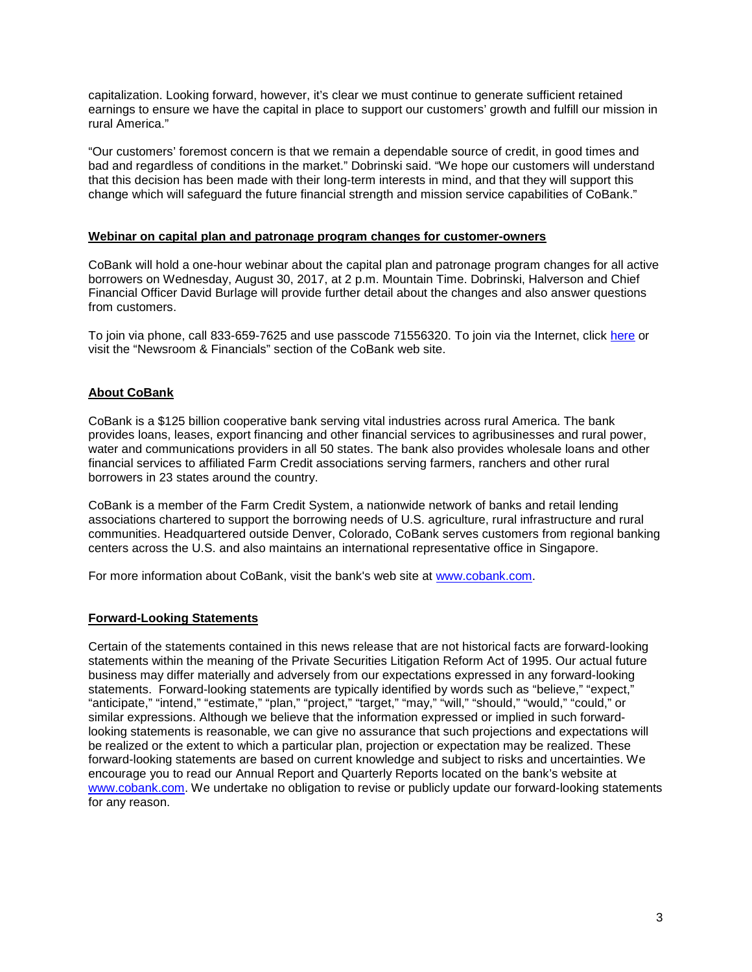capitalization. Looking forward, however, it's clear we must continue to generate sufficient retained earnings to ensure we have the capital in place to support our customers' growth and fulfill our mission in rural America."

"Our customers' foremost concern is that we remain a dependable source of credit, in good times and bad and regardless of conditions in the market." Dobrinski said. "We hope our customers will understand that this decision has been made with their long-term interests in mind, and that they will support this change which will safeguard the future financial strength and mission service capabilities of CoBank."

#### **Webinar on capital plan and patronage program changes for customer-owners**

CoBank will hold a one-hour webinar about the capital plan and patronage program changes for all active borrowers on Wednesday, August 30, 2017, at 2 p.m. Mountain Time. Dobrinski, Halverson and Chief Financial Officer David Burlage will provide further detail about the changes and also answer questions from customers.

To join via phone, call 833-659-7625 and use passcode 71556320. To join via the Internet, click [here](https://edge.media-server.com/m6/p/rdnj7d9v) or visit the "Newsroom & Financials" section of the CoBank web site.

#### **About CoBank**

CoBank is a \$125 billion cooperative bank serving vital industries across rural America. The bank provides loans, leases, export financing and other financial services to agribusinesses and rural power, water and communications providers in all 50 states. The bank also provides wholesale loans and other financial services to affiliated Farm Credit associations serving farmers, ranchers and other rural borrowers in 23 states around the country.

CoBank is a member of the Farm Credit System, a nationwide network of banks and retail lending associations chartered to support the borrowing needs of U.S. agriculture, rural infrastructure and rural communities. Headquartered outside Denver, Colorado, CoBank serves customers from regional banking centers across the U.S. and also maintains an international representative office in Singapore.

For more information about CoBank, visit the bank's web site at [www.cobank.com.](http://www.cobank.com/)

#### **Forward-Looking Statements**

Certain of the statements contained in this news release that are not historical facts are forward-looking statements within the meaning of the Private Securities Litigation Reform Act of 1995. Our actual future business may differ materially and adversely from our expectations expressed in any forward-looking statements. Forward-looking statements are typically identified by words such as "believe," "expect," "anticipate," "intend," "estimate," "plan," "project," "target," "may," "will," "should," "would," "could," or similar expressions. Although we believe that the information expressed or implied in such forwardlooking statements is reasonable, we can give no assurance that such projections and expectations will be realized or the extent to which a particular plan, projection or expectation may be realized. These forward-looking statements are based on current knowledge and subject to risks and uncertainties. We encourage you to read our Annual Report and Quarterly Reports located on the bank's website at [www.cobank.com.](http://www.cobank.com/) We undertake no obligation to revise or publicly update our forward-looking statements for any reason.